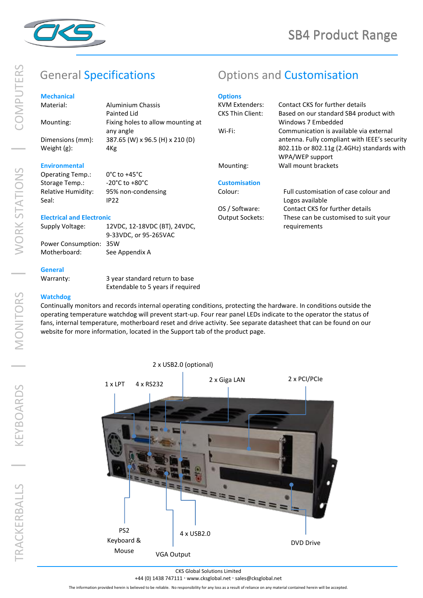

### **Mechanical** Material:

| IVICOHOHILGH         |                                   |
|----------------------|-----------------------------------|
| Material:            | <b>Aluminium Chassis</b>          |
|                      | Painted Lid                       |
| Mounting:            | Fixing holes to allow mounting at |
|                      | any angle                         |
| Dimensions (mm):     | 387.65 (W) x 96.5 (H) x 210 (D)   |
| Weight $(g)$ :       | 4Kg                               |
|                      |                                   |
| <b>Environmental</b> |                                   |

# General Specifications **Customisation** Options and Customisation

## **Options**

| KVM Extenders:          | Contact CKS for further details               |
|-------------------------|-----------------------------------------------|
| <b>CKS Thin Client:</b> | Based on our standard SB4 product with        |
|                         | Windows 7 Embedded                            |
| Wi-Fi:                  | Communication is available via external       |
|                         | antenna. Fully compliant with IEEE's security |
|                         | 802.11b or 802.11g (2.4GHz) standards with    |
|                         | WPA/WEP support                               |
| Mounting:               | Wall mount brackets                           |
|                         |                                               |

#### **Customisation**

#### Colour: Full customisation of case colour and Logos available OS / Software: Contact CKS for further details Output Sockets: These can be customised to suit your requirements

#### **Electrical and Electronic**

Seal: IP22

Operating Temp.: 0°C to +45°C Storage Temp.: -20°C to +80°C Relative Humidity: 95% non-condensing

| Supply Voltage:        | 12VDC, 12-18VDC (BT), 24VDC, |
|------------------------|------------------------------|
|                        | 9-33VDC. or 95-265VAC        |
| Power Consumption: 35W |                              |
| Motherboard:           | See Appendix A               |

#### **General**

Warranty: 3 year standard return to base Extendable to 5 years if required

### **Watchdog**

Continually monitors and records internal operating conditions, protecting the hardware. In conditions outside the operating temperature watchdog will prevent start-up. Four rear panel LEDs indicate to the operator the status of fans, internal temperature, motherboard reset and drive activity. See separate datasheet that can be found on our website for more information, located in the Support tab of the product page.



#### CKS Global Solutions Limited

#### +44 (0) 1438 747111 · www.cksglobal.net · sales@cksglobal.net

The information provided herein is believed to be reliable. No responsibility for any loss as a result of reliance on any material contained herein will be accepted.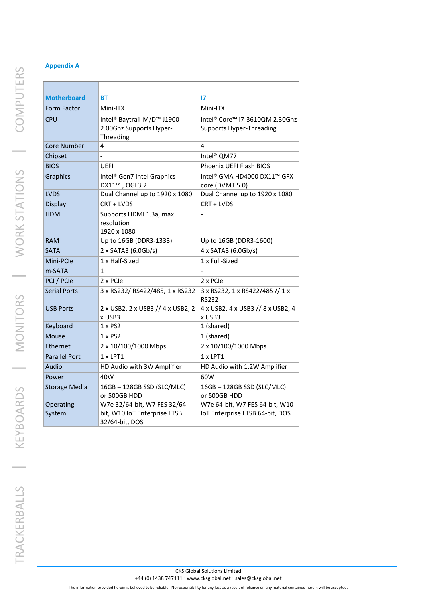| <b>Motherboard</b>   | <b>BT</b>                                          | 17                                              |
|----------------------|----------------------------------------------------|-------------------------------------------------|
| Form Factor          | Mini-ITX                                           | Mini-ITX                                        |
| <b>CPU</b>           | Intel <sup>®</sup> Baytrail-M/D <sup>™</sup> J1900 | Intel® Core™ i7-3610QM 2.30Ghz                  |
|                      | 2.00Ghz Supports Hyper-                            | <b>Supports Hyper-Threading</b>                 |
|                      | Threading                                          |                                                 |
| Core Number          | 4                                                  | 4                                               |
| Chipset              |                                                    | Intel <sup>®</sup> QM77                         |
| <b>BIOS</b>          | <b>UEFI</b>                                        | Phoenix UEFI Flash BIOS                         |
| Graphics             | Intel® Gen7 Intel Graphics                         | Intel® GMA HD4000 DX11™ GFX                     |
|                      | DX11™, OGL3.2                                      | core (DVMT 5.0)                                 |
| <b>LVDS</b>          | Dual Channel up to 1920 x 1080                     | Dual Channel up to 1920 x 1080                  |
| <b>Display</b>       | CRT + LVDS                                         | CRT + LVDS                                      |
| <b>HDMI</b>          | Supports HDMI 1.3a, max                            |                                                 |
|                      | resolution<br>1920 x 1080                          |                                                 |
| <b>RAM</b>           | Up to 16GB (DDR3-1333)                             | Up to 16GB (DDR3-1600)                          |
| <b>SATA</b>          | 2 x SATA3 (6.0Gb/s)                                | 4 x SATA3 (6.0Gb/s)                             |
| Mini-PCIe            | 1 x Half-Sized                                     | 1 x Full-Sized                                  |
| m-SATA               | $\mathbf{1}$                                       |                                                 |
| PCI / PCIe           | 2 x PCIe                                           | 2 x PCIe                                        |
|                      |                                                    |                                                 |
| <b>Serial Ports</b>  | 3 x RS232/ RS422/485, 1 x RS232                    | 3 x RS232, 1 x RS422/485 // 1 x<br><b>RS232</b> |
| <b>USB Ports</b>     | 2 x USB2, 2 x USB3 // 4 x USB2, 2                  | 4 x USB2, 4 x USB3 // 8 x USB2, 4               |
|                      | x USB3                                             | x USB3                                          |
| Keyboard             | $1 \times PS2$                                     | 1 (shared)                                      |
| Mouse                | $1 \times PS2$                                     | 1 (shared)                                      |
| Ethernet             | 2 x 10/100/1000 Mbps                               | 2 x 10/100/1000 Mbps                            |
| <b>Parallel Port</b> | $1 \times LPT1$                                    | $1 \times LPT1$                                 |
| Audio                | HD Audio with 3W Amplifier                         | HD Audio with 1.2W Amplifier                    |
| Power                | 40W                                                | 60W                                             |
| <b>Storage Media</b> | 16GB-128GB SSD (SLC/MLC)<br>or 500GB HDD           | 16GB-128GB SSD (SLC/MLC)<br>or 500GB HDD        |
| Operating            | W7e 32/64-bit, W7 FES 32/64-                       | W7e 64-bit, W7 FES 64-bit, W10                  |
| System               | bit, W10 IoT Enterprise LTSB                       | IoT Enterprise LTSB 64-bit, DOS                 |
|                      | 32/64-bit, DOS                                     |                                                 |

TRACKERBALLS | KEYBOARDS | MONITORS | WORK STATIONS | COMPUTERS TRACKERBALLS | KEYBOARDS | MONITORS | WORK STATIONS | COMPUTERS

+44 (0) 1438 747111 · www.cksglobal.net · sales@cksglobal.net

The information provided herein is believed to be reliable. No responsibility for any loss as a result of reliance on any material contained herein will be accepted.